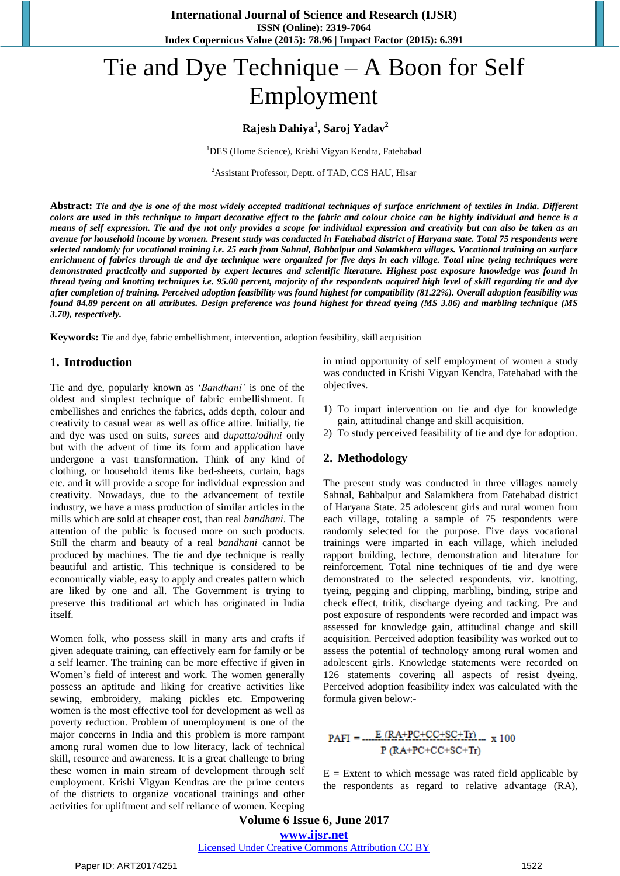# Tie and Dye Technique – A Boon for Self Employment

## **Rajesh Dahiya<sup>1</sup> , Saroj Yadav<sup>2</sup>**

<sup>1</sup>DES (Home Science), Krishi Vigyan Kendra, Fatehabad

<sup>2</sup>Assistant Professor, Deptt. of TAD, CCS HAU, Hisar

Abstract: Tie and dye is one of the most widely accepted traditional techniques of surface enrichment of textiles in India. Different colors are used in this technique to impart decorative effect to the fabric and colour choice can be highly individual and hence is a means of self expression. Tie and dye not only provides a scope for individual expression and creativity but can also be taken as an avenue for household income by women. Present study was conducted in Fatehabad district of Haryana state. Total 75 respondents were selected randomly for vocational training i.e. 25 each from Sahnal, Bahbalpur and Salamkhera villages. Vocational training on surface enrichment of fabrics through tie and dye technique were organized for five days in each village. Total nine tyeing techniques were demonstrated practically and supported by expert lectures and scientific literature. Highest post exposure knowledge was found in thread tyeing and knotting techniques i.e. 95.00 percent, majority of the respondents acquired high level of skill regarding tie and dye after completion of training. Perceived adoption feasibility was found highest for compatibility (81.22%). Overall adoption feasibility was found 84.89 percent on all attributes. Design preference was found highest for thread tyeing (MS 3.86) and marbling technique (MS *3.70), respectively.*

**Keywords:** Tie and dye, fabric embellishment, intervention, adoption feasibility, skill acquisition

#### **1. Introduction**

Tie and dye, popularly known as '*Bandhani'* is one of the oldest and simplest technique of fabric embellishment. It embellishes and enriches the fabrics, adds depth, colour and creativity to casual wear as well as office attire. Initially, tie and dye was used on suits, *sarees* and *dupatta*/*odhni* only but with the advent of time its form and application have undergone a vast transformation. Think of any kind of clothing, or household items like bed-sheets, curtain, bags etc. and it will provide a scope for individual expression and creativity. Nowadays, due to the advancement of textile industry, we have a mass production of similar articles in the mills which are sold at cheaper cost, than real *bandhani*. The attention of the public is focused more on such products. Still the charm and beauty of a real *bandhani* cannot be produced by machines. The tie and dye technique is really beautiful and artistic. This technique is considered to be economically viable, easy to apply and creates pattern which are liked by one and all. The Government is trying to preserve this traditional art which has originated in India itself.

Women folk, who possess skill in many arts and crafts if given adequate training, can effectively earn for family or be a self learner. The training can be more effective if given in Women's field of interest and work. The women generally possess an aptitude and liking for creative activities like sewing, embroidery, making pickles etc. Empowering women is the most effective tool for development as well as poverty reduction. Problem of unemployment is one of the major concerns in India and this problem is more rampant among rural women due to low literacy, lack of technical skill, resource and awareness. It is a great challenge to bring these women in main stream of development through self employment. Krishi Vigyan Kendras are the prime centers of the districts to organize vocational trainings and other activities for upliftment and self reliance of women. Keeping in mind opportunity of self employment of women a study was conducted in Krishi Vigyan Kendra, Fatehabad with the objectives.

- 1) To impart intervention on tie and dye for knowledge gain, attitudinal change and skill acquisition.
- 2) To study perceived feasibility of tie and dye for adoption.

#### **2. Methodology**

The present study was conducted in three villages namely Sahnal, Bahbalpur and Salamkhera from Fatehabad district of Haryana State. 25 adolescent girls and rural women from each village, totaling a sample of 75 respondents were randomly selected for the purpose. Five days vocational trainings were imparted in each village, which included rapport building, lecture, demonstration and literature for reinforcement. Total nine techniques of tie and dye were demonstrated to the selected respondents, viz. knotting, tyeing, pegging and clipping, marbling, binding, stripe and check effect, tritik, discharge dyeing and tacking. Pre and post exposure of respondents were recorded and impact was assessed for knowledge gain, attitudinal change and skill acquisition. Perceived adoption feasibility was worked out to assess the potential of technology among rural women and adolescent girls. Knowledge statements were recorded on 126 statements covering all aspects of resist dyeing. Perceived adoption feasibility index was calculated with the formula given below:-

$$
PAFI = \frac{E (RA+PC+CC+SC+Tr)}{P (RA+PC+CC+SC+Tr)} \times 100
$$

 $E =$  Extent to which message was rated field applicable by the respondents as regard to relative advantage (RA),

**Volume 6 Issue 6, June 2017 www.ijsr.net** Licensed Under Creative Commons Attribution CC BY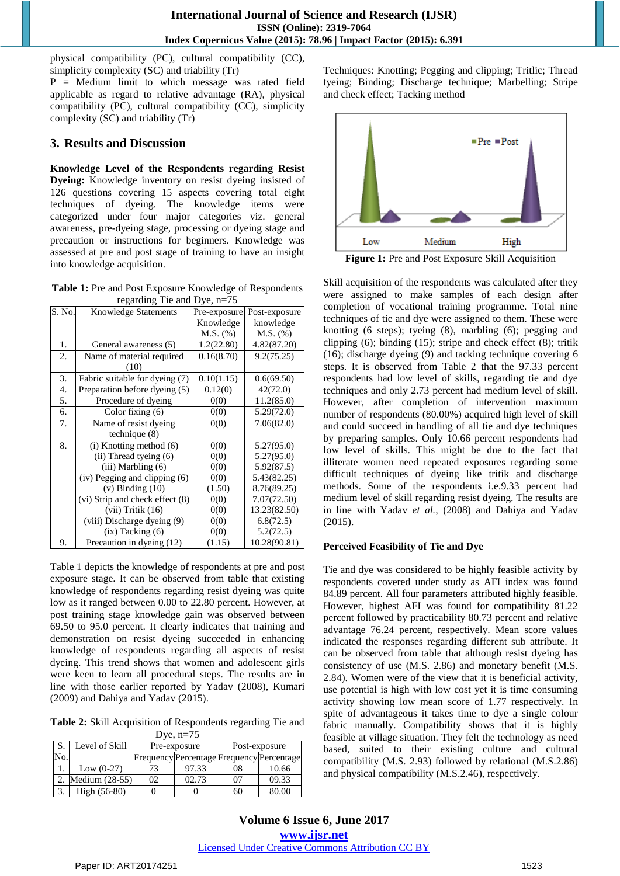physical compatibility (PC), cultural compatibility (CC), simplicity complexity (SC) and triability (Tr)

P = Medium limit to which message was rated field applicable as regard to relative advantage (RA), physical compatibility (PC), cultural compatibility (CC), simplicity complexity (SC) and triability (Tr)

#### **3. Results and Discussion**

**Knowledge Level of the Respondents regarding Resist Dyeing:** Knowledge inventory on resist dyeing insisted of 126 questions covering 15 aspects covering total eight techniques of dyeing. The knowledge items were categorized under four major categories viz. general awareness, pre-dyeing stage, processing or dyeing stage and precaution or instructions for beginners. Knowledge was assessed at pre and post stage of training to have an insight into knowledge acquisition.

**Table 1:** Pre and Post Exposure Knowledge of Respondents regarding Tie and Dye, n=75

| $10, \frac{3}{2}$ and $\frac{1}{2}$ in the $\frac{1}{2}$ of $\frac{1}{2}$ is $\frac{1}{2}$ |                                   |               |               |  |  |  |  |
|--------------------------------------------------------------------------------------------|-----------------------------------|---------------|---------------|--|--|--|--|
| S. No.                                                                                     | <b>Knowledge Statements</b>       | Pre-exposure  | Post-exposure |  |  |  |  |
|                                                                                            |                                   | Knowledge     | knowledge     |  |  |  |  |
|                                                                                            |                                   | $M.S.$ $(\%)$ | $M.S.$ $(\%)$ |  |  |  |  |
| 1.                                                                                         | General awareness (5)             | 1.2(22.80)    | 4.82(87.20)   |  |  |  |  |
| 2.                                                                                         | Name of material required         | 0.16(8.70)    | 9.2(75.25)    |  |  |  |  |
|                                                                                            | (10)                              |               |               |  |  |  |  |
| 3.                                                                                         | Fabric suitable for dyeing (7)    | 0.10(1.15)    | 0.6(69.50)    |  |  |  |  |
| 4.                                                                                         | Preparation before dyeing (5)     | 0.12(0)       | 42(72.0)      |  |  |  |  |
| 5.                                                                                         | Procedure of dyeing               | 0(0)          | 11.2(85.0)    |  |  |  |  |
| 6.                                                                                         | Color fixing $(6)$                | 0(0)          | 5.29(72.0)    |  |  |  |  |
| 7.                                                                                         | Name of resist dyeing             | 0(0)          | 7.06(82.0)    |  |  |  |  |
|                                                                                            | technique (8)                     |               |               |  |  |  |  |
| 8.                                                                                         | $(i)$ Knotting method $(6)$       | 0(0)          | 5.27(95.0)    |  |  |  |  |
|                                                                                            | $(ii)$ Thread tyeing $(6)$        | 0(0)          | 5.27(95.0)    |  |  |  |  |
|                                                                                            | $(iii)$ Marbling $(6)$            | 0(0)          | 5.92(87.5)    |  |  |  |  |
|                                                                                            | $(iv)$ Pegging and clipping $(6)$ | 0(0)          | 5.43(82.25)   |  |  |  |  |
|                                                                                            | $(v)$ Binding $(10)$              | (1.50)        | 8.76(89.25)   |  |  |  |  |
|                                                                                            | (vi) Strip and check effect (8)   | 0(0)          | 7.07(72.50)   |  |  |  |  |
|                                                                                            | $(vii)$ Tritik $(16)$             | 0(0)          | 13.23(82.50)  |  |  |  |  |
|                                                                                            | (viii) Discharge dyeing (9)       | 0(0)          | 6.8(72.5)     |  |  |  |  |
|                                                                                            | $(ix)$ Tacking $(6)$              | 0(0)          | 5.2(72.5)     |  |  |  |  |
| 9.                                                                                         | Precaution in dyeing (12)         | (1.15)        | 10.28(90.81)  |  |  |  |  |

Table 1 depicts the knowledge of respondents at pre and post exposure stage. It can be observed from table that existing knowledge of respondents regarding resist dyeing was quite low as it ranged between 0.00 to 22.80 percent. However, at post training stage knowledge gain was observed between 69.50 to 95.0 percent. It clearly indicates that training and demonstration on resist dyeing succeeded in enhancing knowledge of respondents regarding all aspects of resist dyeing. This trend shows that women and adolescent girls were keen to learn all procedural steps. The results are in line with those earlier reported by Yadav (2008), Kumari (2009) and Dahiya and Yadav (2015).

**Table 2:** Skill Acquisition of Respondents regarding Tie and

| Dye, $n=75$ |                   |              |       |               |                                           |  |  |
|-------------|-------------------|--------------|-------|---------------|-------------------------------------------|--|--|
| S.          | Level of Skill    | Pre-exposure |       | Post-exposure |                                           |  |  |
| No.         |                   |              |       |               | Frequency Percentage Frequency Percentage |  |  |
|             | Low $(0-27)$      | 73           | 97.33 | 08            | 10.66                                     |  |  |
|             | 2. Medium (28-55) | 02           | 02.73 | 07            | 09.33                                     |  |  |
| 3.          | High (56-80)      |              |       | 60            | 80.00                                     |  |  |

Techniques: Knotting; Pegging and clipping; Tritlic; Thread tyeing; Binding; Discharge technique; Marbelling; Stripe and check effect; Tacking method



**Figure 1:** Pre and Post Exposure Skill Acquisition

Skill acquisition of the respondents was calculated after they were assigned to make samples of each design after completion of vocational training programme. Total nine techniques of tie and dye were assigned to them. These were knotting (6 steps); tyeing (8), marbling (6); pegging and clipping (6); binding (15); stripe and check effect (8); tritik (16); discharge dyeing (9) and tacking technique covering 6 steps. It is observed from Table 2 that the 97.33 percent respondents had low level of skills, regarding tie and dye techniques and only 2.73 percent had medium level of skill. However, after completion of intervention maximum number of respondents (80.00%) acquired high level of skill and could succeed in handling of all tie and dye techniques by preparing samples. Only 10.66 percent respondents had low level of skills. This might be due to the fact that illiterate women need repeated exposures regarding some difficult techniques of dyeing like tritik and discharge methods. Some of the respondents i.e.9.33 percent had medium level of skill regarding resist dyeing. The results are in line with Yadav *et al.,* (2008) and Dahiya and Yadav (2015).

# **Perceived Feasibility of Tie and Dye**

Tie and dye was considered to be highly feasible activity by respondents covered under study as AFI index was found 84.89 percent. All four parameters attributed highly feasible. However, highest AFI was found for compatibility 81.22 percent followed by practicability 80.73 percent and relative advantage 76.24 percent, respectively. Mean score values indicated the responses regarding different sub attribute. It can be observed from table that although resist dyeing has consistency of use (M.S. 2.86) and monetary benefit (M.S. 2.84). Women were of the view that it is beneficial activity, use potential is high with low cost yet it is time consuming activity showing low mean score of 1.77 respectively. In spite of advantageous it takes time to dye a single colour fabric manually. Compatibility shows that it is highly feasible at village situation. They felt the technology as need based, suited to their existing culture and cultural compatibility (M.S. 2.93) followed by relational (M.S.2.86) and physical compatibility (M.S.2.46), respectively.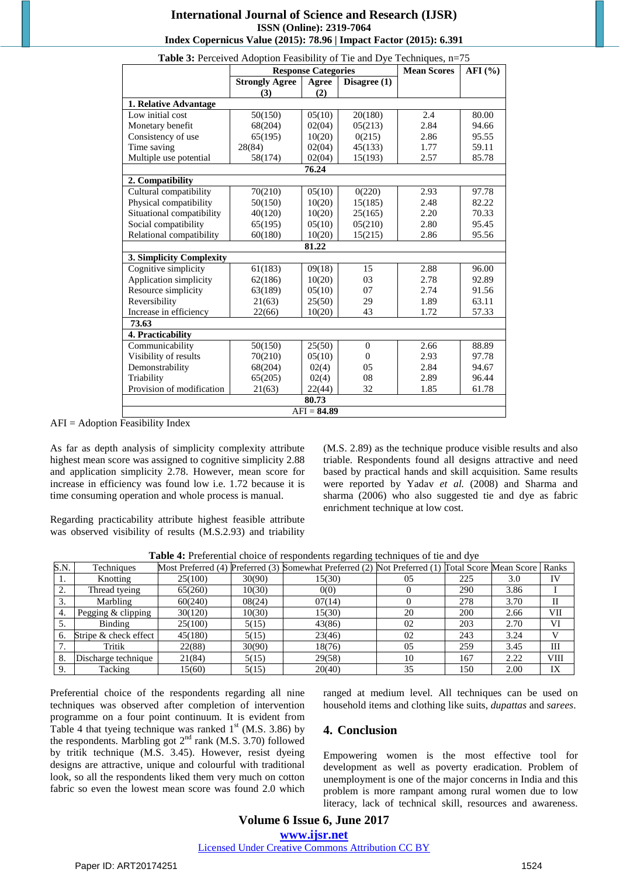#### **International Journal of Science and Research (IJSR) ISSN (Online): 2319-7064 Index Copernicus Value (2015): 78.96 | Impact Factor (2015): 6.391**

|                           | <b>There</b> is a created the phon I canonity of the and $D_f c$ recommences, $n-r$<br><b>Response Categories</b> |               |                | <b>Mean Scores</b> | AFI $(% )$ |
|---------------------------|-------------------------------------------------------------------------------------------------------------------|---------------|----------------|--------------------|------------|
|                           | <b>Strongly Agree</b>                                                                                             | Agree         | Disagree $(1)$ |                    |            |
|                           | (3)                                                                                                               | (2)           |                |                    |            |
| 1. Relative Advantage     |                                                                                                                   |               |                |                    |            |
| Low initial cost          | 50(150)                                                                                                           | 05(10)        | 20(180)        | 2.4                | 80.00      |
| Monetary benefit          | 68(204)                                                                                                           | 02(04)        | 05(213)        | 2.84               | 94.66      |
| Consistency of use        | 65(195)                                                                                                           | 10(20)        | 0(215)         | 2.86               | 95.55      |
| Time saving               | 28(84)                                                                                                            | 02(04)        | 45(133)        | 1.77               | 59.11      |
| Multiple use potential    | 58(174)                                                                                                           | 02(04)        | 15(193)        | 2.57               | 85.78      |
|                           |                                                                                                                   | 76.24         |                |                    |            |
| 2. Compatibility          |                                                                                                                   |               |                |                    |            |
| Cultural compatibility    | 70(210)                                                                                                           | 05(10)        | 0(220)         | 2.93               | 97.78      |
| Physical compatibility    | 50(150)                                                                                                           | 10(20)        | 15(185)        | 2.48               | 82.22      |
| Situational compatibility | 40(120)                                                                                                           | 10(20)        | 25(165)        | 2.20               | 70.33      |
| Social compatibility      | 65(195)                                                                                                           | 05(10)        | 05(210)        | 2.80               | 95.45      |
| Relational compatibility  | 60(180)                                                                                                           | 10(20)        | 15(215)        | 2.86               | 95.56      |
|                           |                                                                                                                   | 81.22         |                |                    |            |
| 3. Simplicity Complexity  |                                                                                                                   |               |                |                    |            |
| Cognitive simplicity      | 61(183)                                                                                                           | 09(18)        | 15             | 2.88               | 96.00      |
| Application simplicity    | 62(186)                                                                                                           | 10(20)        | 03             | 2.78               | 92.89      |
| Resource simplicity       | 63(189)                                                                                                           | 05(10)        | 07             | 2.74               | 91.56      |
| Reversibility             | 21(63)                                                                                                            | 25(50)        | 29             | 1.89               | 63.11      |
| Increase in efficiency    | 22(66)                                                                                                            | 10(20)        | 43             | 1.72               | 57.33      |
| 73.63                     |                                                                                                                   |               |                |                    |            |
| 4. Practicability         |                                                                                                                   |               |                |                    |            |
| Communicability           | 50(150)                                                                                                           | 25(50)        | $\theta$       | 2.66               | 88.89      |
| Visibility of results     | 70(210)                                                                                                           | 05(10)        | $\Omega$       | 2.93               | 97.78      |
| Demonstrability           | 68(204)                                                                                                           | 02(4)         | 05             | 2.84               | 94.67      |
| Triability                | 65(205)                                                                                                           | 02(4)         | 08             | 2.89               | 96.44      |
| Provision of modification | 21(63)                                                                                                            | 22(44)        | 32             | 1.85               | 61.78      |
|                           |                                                                                                                   | 80.73         |                |                    |            |
|                           |                                                                                                                   | $AFI = 84.89$ |                |                    |            |

**Table 3:** Perceived Adoption Feasibility of Tie and Dye Techniques,  $n=75$ 

AFI = Adoption Feasibility Index

As far as depth analysis of simplicity complexity attribute highest mean score was assigned to cognitive simplicity 2.88 and application simplicity 2.78. However, mean score for increase in efficiency was found low i.e. 1.72 because it is time consuming operation and whole process is manual.

(M.S. 2.89) as the technique produce visible results and also triable. Respondents found all designs attractive and need based by practical hands and skill acquisition. Same results were reported by Yadav *et al.* (2008) and Sharma and sharma (2006) who also suggested tie and dye as fabric enrichment technique at low cost.

Regarding practicability attribute highest feasible attribute was observed visibility of results (M.S.2.93) and triability

**Table 4:** Preferential choice of respondents regarding techniques of tie and dye

| S.N. | Techniques            |         |        | Most Preferred (4) Preferred (3) Somewhat Preferred (2) Not Preferred (1) Total Score Mean Score |    |     |      | Ranks       |
|------|-----------------------|---------|--------|--------------------------------------------------------------------------------------------------|----|-----|------|-------------|
| 1.   | Knotting              | 25(100) | 30(90) | 15(30)                                                                                           | 05 | 225 | 3.0  | IV          |
|      | Thread tyeing         | 65(260) | 10(30) | 0(0)                                                                                             |    | 290 | 3.86 |             |
| 3.   | Marbling              | 60(240) | 08(24) | 07(14)                                                                                           |    | 278 | 3.70 | П           |
| 4.   | Pegging $&$ clipping  | 30(120) | 10(30) | 15(30)                                                                                           | 20 | 200 | 2.66 | VII         |
|      | Binding               | 25(100) | 5(15)  | 43(86)                                                                                           | 02 | 203 | 2.70 | VI          |
|      | Stripe & check effect | 45(180) | 5(15)  | 23(46)                                                                                           | 02 | 243 | 3.24 |             |
|      | Tritik                | 22(88)  | 30(90) | 18(76)                                                                                           | 05 | 259 | 3.45 | Ш           |
| 8.   | Discharge technique   | 21(84)  | 5(15)  | 29(58)                                                                                           | 10 | 167 | 2.22 | <b>VIII</b> |
| 9.   | Tacking               | 15(60)  | 5(15)  | 20(40)                                                                                           | 35 | 150 | 2.00 | IX          |

Preferential choice of the respondents regarding all nine techniques was observed after completion of intervention programme on a four point continuum. It is evident from Table 4 that tyeing technique was ranked  $1<sup>st</sup>$  (M.S. 3.86) by the respondents. Marbling got  $2<sup>nd</sup>$  rank (M.S. 3.70) followed by tritik technique (M.S. 3.45). However, resist dyeing designs are attractive, unique and colourful with traditional look, so all the respondents liked them very much on cotton fabric so even the lowest mean score was found 2.0 which ranged at medium level. All techniques can be used on household items and clothing like suits, *dupattas* and *sarees*.

#### **4. Conclusion**

Empowering women is the most effective tool for development as well as poverty eradication. Problem of unemployment is one of the major concerns in India and this problem is more rampant among rural women due to low literacy, lack of technical skill, resources and awareness.